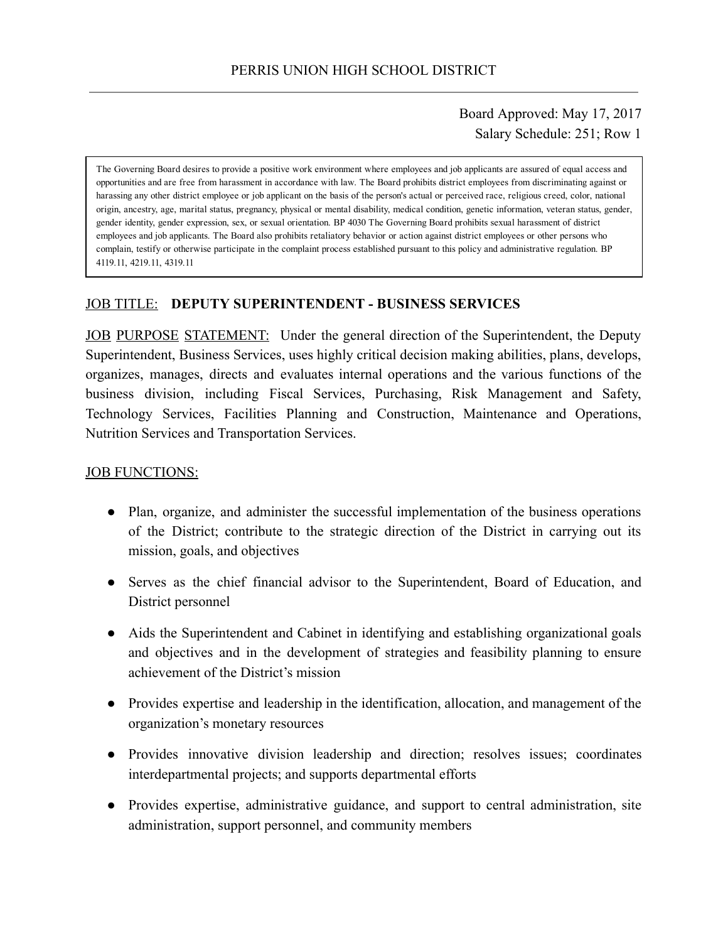## Board Approved: May 17, 2017 Salary Schedule: 251; Row 1

The Governing Board desires to provide a positive work environment where employees and job applicants are assured of equal access and opportunities and are free from harassment in accordance with law. The Board prohibits district employees from discriminating against or harassing any other district employee or job applicant on the basis of the person's actual or perceived race, religious creed, color, national origin, ancestry, age, marital status, pregnancy, physical or mental disability, medical condition, genetic information, veteran status, gender, gender identity, gender expression, sex, or sexual orientation. BP 4030 The Governing Board prohibits sexual harassment of district employees and job applicants. The Board also prohibits retaliatory behavior or action against district employees or other persons who complain, testify or otherwise participate in the complaint process established pursuant to this policy and administrative regulation. BP 4119.11, 4219.11, 4319.11

### JOB TITLE: DEPUTY SUPERINTENDENT - BUSINESS SERVICES

JOB PURPOSE STATEMENT: Under the general direction of the Superintendent, the Deputy Superintendent, Business Services, uses highly critical decision making abilities, plans, develops, organizes, manages, directs and evaluates internal operations and the various functions of the business division, including Fiscal Services, Purchasing, Risk Management and Safety, Technology Services, Facilities Planning and Construction, Maintenance and Operations, Nutrition Services and Transportation Services.

#### JOB FUNCTIONS:

- Plan, organize, and administer the successful implementation of the business operations of the District; contribute to the strategic direction of the District in carrying out its mission, goals, and objectives
- Serves as the chief financial advisor to the Superintendent, Board of Education, and District personnel
- Aids the Superintendent and Cabinet in identifying and establishing organizational goals and objectives and in the development of strategies and feasibility planning to ensure achievement of the District's mission
- Provides expertise and leadership in the identification, allocation, and management of the organization's monetary resources
- Provides innovative division leadership and direction; resolves issues; coordinates interdepartmental projects; and supports departmental efforts
- Provides expertise, administrative guidance, and support to central administration, site administration, support personnel, and community members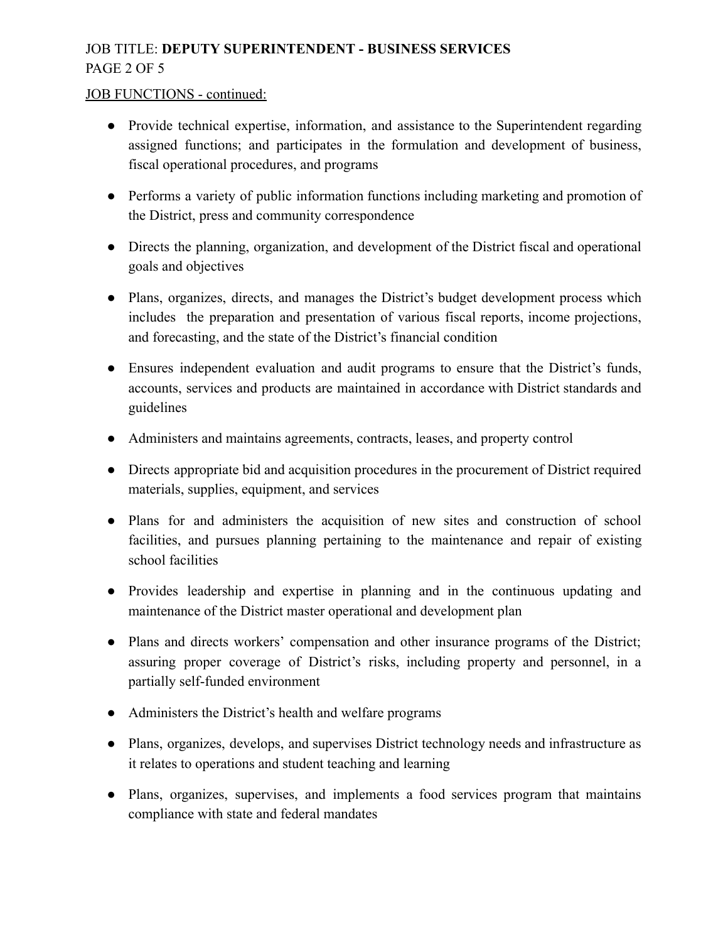# JOB TITLE: DEPUTY SUPERINTENDENT - BUSINESS SERVICES PAGE 2 OF 5

#### JOB FUNCTIONS - continued:

- Provide technical expertise, information, and assistance to the Superintendent regarding assigned functions; and participates in the formulation and development of business, fiscal operational procedures, and programs
- Performs a variety of public information functions including marketing and promotion of the District, press and community correspondence
- Directs the planning, organization, and development of the District fiscal and operational goals and objectives
- Plans, organizes, directs, and manages the District's budget development process which includes the preparation and presentation of various fiscal reports, income projections, and forecasting, and the state of the District's financial condition
- Ensures independent evaluation and audit programs to ensure that the District's funds, accounts, services and products are maintained in accordance with District standards and guidelines
- Administers and maintains agreements, contracts, leases, and property control
- Directs appropriate bid and acquisition procedures in the procurement of District required materials, supplies, equipment, and services
- Plans for and administers the acquisition of new sites and construction of school facilities, and pursues planning pertaining to the maintenance and repair of existing school facilities
- Provides leadership and expertise in planning and in the continuous updating and maintenance of the District master operational and development plan
- Plans and directs workers' compensation and other insurance programs of the District; assuring proper coverage of District's risks, including property and personnel, in a partially self-funded environment
- Administers the District's health and welfare programs
- Plans, organizes, develops, and supervises District technology needs and infrastructure as it relates to operations and student teaching and learning
- Plans, organizes, supervises, and implements a food services program that maintains compliance with state and federal mandates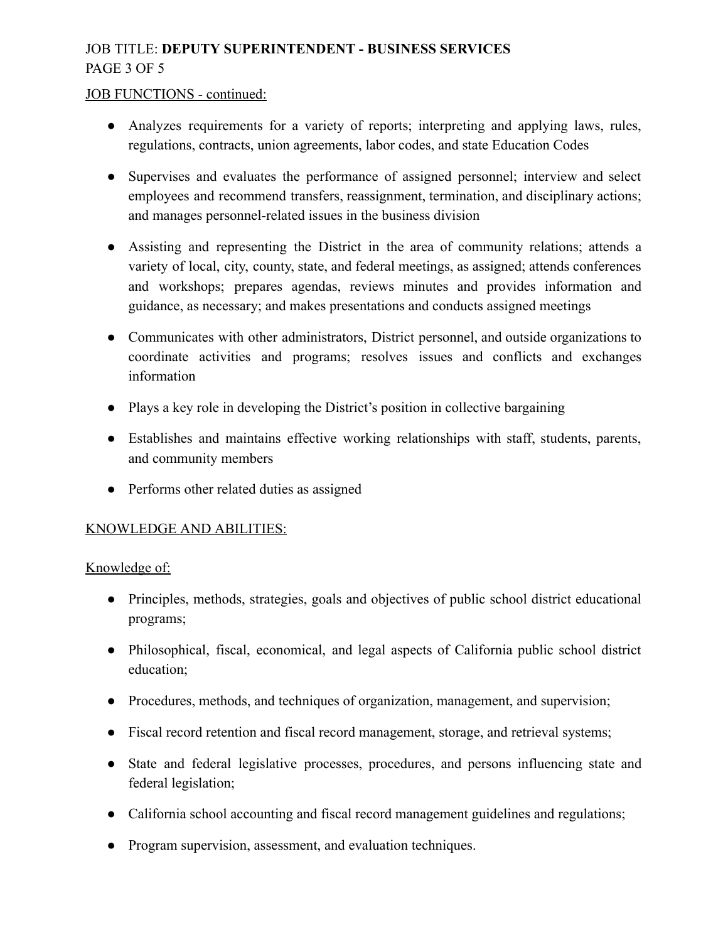# JOB TITLE: DEPUTY SUPERINTENDENT - BUSINESS SERVICES PAGE 3 OF 5

#### JOB FUNCTIONS - continued:

- Analyzes requirements for a variety of reports; interpreting and applying laws, rules, regulations, contracts, union agreements, labor codes, and state Education Codes
- Supervises and evaluates the performance of assigned personnel; interview and select employees and recommend transfers, reassignment, termination, and disciplinary actions; and manages personnel-related issues in the business division
- Assisting and representing the District in the area of community relations; attends a variety of local, city, county, state, and federal meetings, as assigned; attends conferences and workshops; prepares agendas, reviews minutes and provides information and guidance, as necessary; and makes presentations and conducts assigned meetings
- Communicates with other administrators, District personnel, and outside organizations to coordinate activities and programs; resolves issues and conflicts and exchanges information
- Plays a key role in developing the District's position in collective bargaining
- Establishes and maintains effective working relationships with staff, students, parents, and community members
- Performs other related duties as assigned

### KNOWLEDGE AND ABILITIES:

Knowledge of:

- Principles, methods, strategies, goals and objectives of public school district educational programs;
- Philosophical, fiscal, economical, and legal aspects of California public school district education;
- Procedures, methods, and techniques of organization, management, and supervision;
- Fiscal record retention and fiscal record management, storage, and retrieval systems;
- State and federal legislative processes, procedures, and persons influencing state and federal legislation;
- California school accounting and fiscal record management guidelines and regulations;
- Program supervision, assessment, and evaluation techniques.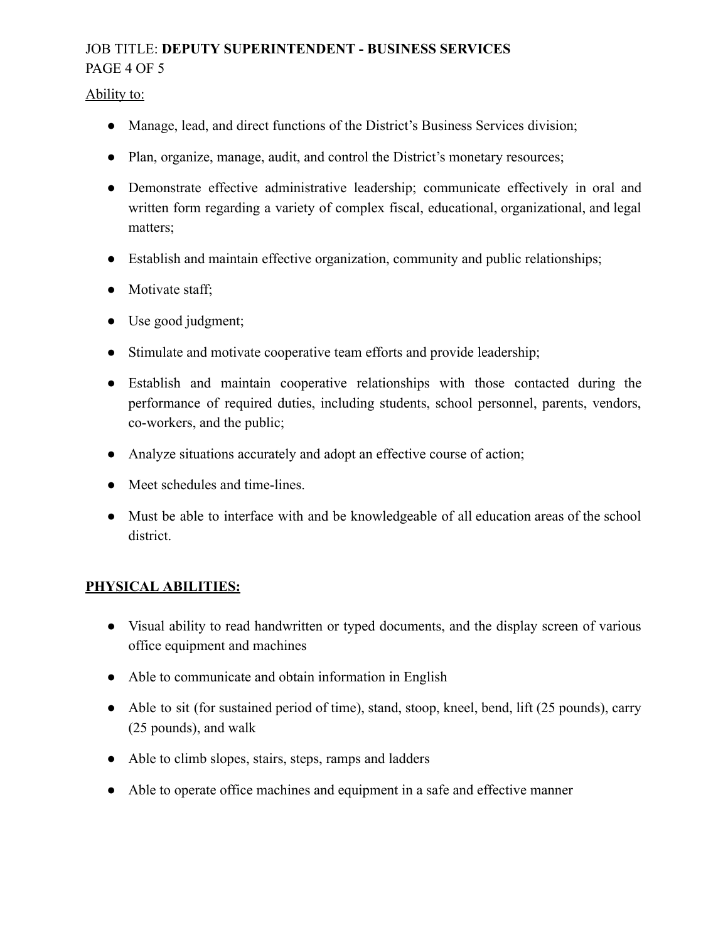# JOB TITLE: DEPUTY SUPERINTENDENT - BUSINESS SERVICES PAGE 4 OF 5

Ability to:

- Manage, lead, and direct functions of the District's Business Services division;
- Plan, organize, manage, audit, and control the District's monetary resources;
- Demonstrate effective administrative leadership; communicate effectively in oral and written form regarding a variety of complex fiscal, educational, organizational, and legal matters;
- Establish and maintain effective organization, community and public relationships;
- Motivate staff;
- Use good judgment;
- Stimulate and motivate cooperative team efforts and provide leadership;
- Establish and maintain cooperative relationships with those contacted during the performance of required duties, including students, school personnel, parents, vendors, co-workers, and the public;
- Analyze situations accurately and adopt an effective course of action;
- Meet schedules and time-lines.
- Must be able to interface with and be knowledgeable of all education areas of the school district.

## PHYSICAL ABILITIES:

- Visual ability to read handwritten or typed documents, and the display screen of various office equipment and machines
- Able to communicate and obtain information in English
- Able to sit (for sustained period of time), stand, stoop, kneel, bend, lift (25 pounds), carry (25 pounds), and walk
- Able to climb slopes, stairs, steps, ramps and ladders
- Able to operate office machines and equipment in a safe and effective manner